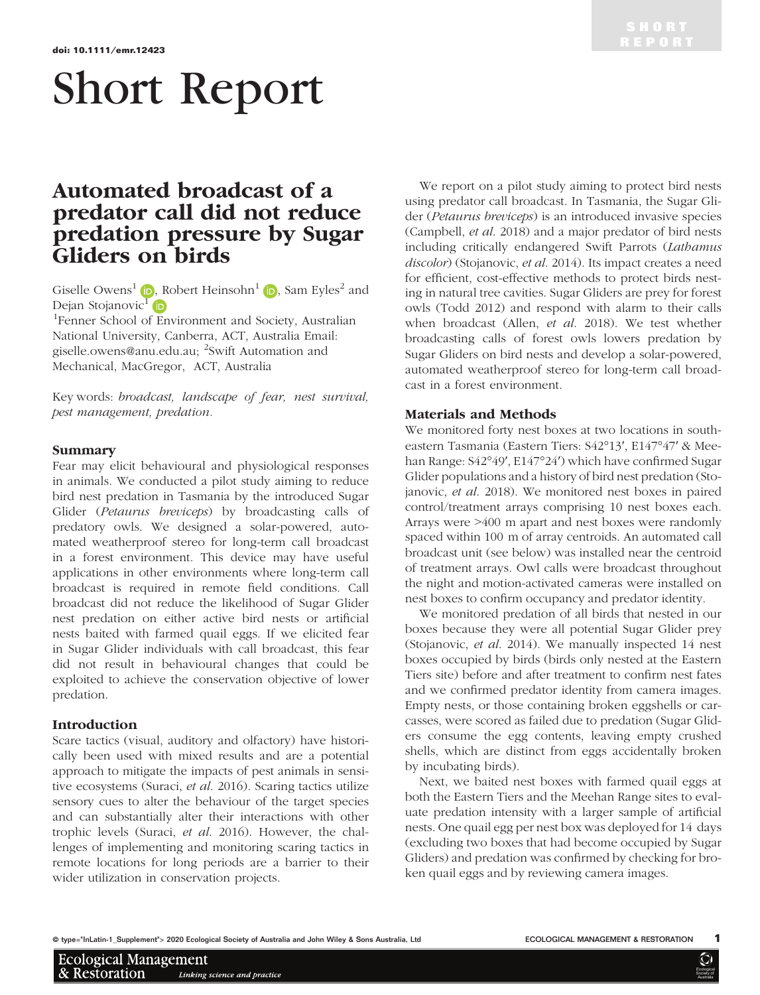# Short Report

## Automated broadcast of a predator call did not reduce predation pressure by Sugar Gliders on birds

Giselle Owens<sup>[1](https://orcid.org/0000-0002-2514-9448)</sup> **D**, Robert Heinsohn<sup>1</sup> **D**, Sam Eyles<sup>2</sup> and Dejan Stojanovic<sup>[1](https://orcid.org/0000-0003-0534-7794)</sup> iD

1 Fenner School of Environment and Society, Australian National University, Canberra, ACT, Australia Email: giselle.owens@anu.edu.au; <sup>2</sup>Swift Automation and Mechanical, MacGregor, ACT, Australia

Key words: broadcast, landscape of fear, nest survival, pest management, predation.

#### Summary

Fear may elicit behavioural and physiological responses in animals. We conducted a pilot study aiming to reduce bird nest predation in Tasmania by the introduced Sugar Glider (Petaurus breviceps) by broadcasting calls of predatory owls. We designed a solar-powered, automated weatherproof stereo for long-term call broadcast in a forest environment. This device may have useful applications in other environments where long-term call broadcast is required in remote field conditions. Call broadcast did not reduce the likelihood of Sugar Glider nest predation on either active bird nests or artificial nests baited with farmed quail eggs. If we elicited fear in Sugar Glider individuals with call broadcast, this fear did not result in behavioural changes that could be exploited to achieve the conservation objective of lower predation.

#### Introduction

**Ecological Management** 

& Restoration

Scare tactics (visual, auditory and olfactory) have historically been used with mixed results and are a potential approach to mitigate the impacts of pest animals in sensitive ecosystems (Suraci, et al. 2016). Scaring tactics utilize sensory cues to alter the behaviour of the target species and can substantially alter their interactions with other trophic levels (Suraci, et al. 2016). However, the challenges of implementing and monitoring scaring tactics in remote locations for long periods are a barrier to their wider utilization in conservation projects.

We report on a pilot study aiming to protect bird nests using predator call broadcast. In Tasmania, the Sugar Glider (Petaurus breviceps) is an introduced invasive species (Campbell, et al. 2018) and a major predator of bird nests including critically endangered Swift Parrots (Lathamus discolor) (Stojanovic, et al. 2014). Its impact creates a need for efficient, cost-effective methods to protect birds nesting in natural tree cavities. Sugar Gliders are prey for forest owls (Todd 2012) and respond with alarm to their calls when broadcast (Allen, et al. 2018). We test whether broadcasting calls of forest owls lowers predation by Sugar Gliders on bird nests and develop a solar-powered, automated weatherproof stereo for long-term call broadcast in a forest environment.

#### Materials and Methods

We monitored forty nest boxes at two locations in southeastern Tasmania (Eastern Tiers: S42°13ʹ, E147°47ʹ & Meehan Range: S42°49ʹ, E147°24ʹ) which have confirmed Sugar Glider populations and a history of bird nest predation (Stojanovic, et al. 2018). We monitored nest boxes in paired control/treatment arrays comprising 10 nest boxes each. Arrays were >400 m apart and nest boxes were randomly spaced within 100 m of array centroids. An automated call broadcast unit (see below) was installed near the centroid of treatment arrays. Owl calls were broadcast throughout the night and motion-activated cameras were installed on nest boxes to confirm occupancy and predator identity.

We monitored predation of all birds that nested in our boxes because they were all potential Sugar Glider prey (Stojanovic, et al. 2014). We manually inspected 14 nest boxes occupied by birds (birds only nested at the Eastern Tiers site) before and after treatment to confirm nest fates and we confirmed predator identity from camera images. Empty nests, or those containing broken eggshells or carcasses, were scored as failed due to predation (Sugar Gliders consume the egg contents, leaving empty crushed shells, which are distinct from eggs accidentally broken by incubating birds).

Next, we baited nest boxes with farmed quail eggs at both the Eastern Tiers and the Meehan Range sites to evaluate predation intensity with a larger sample of artificial nests. One quail egg per nest box was deployed for 14 days (excluding two boxes that had become occupied by Sugar Gliders) and predation was confirmed by checking for broken quail eggs and by reviewing camera images.

Linking science and practice

**Ecologica** Society of **Australia**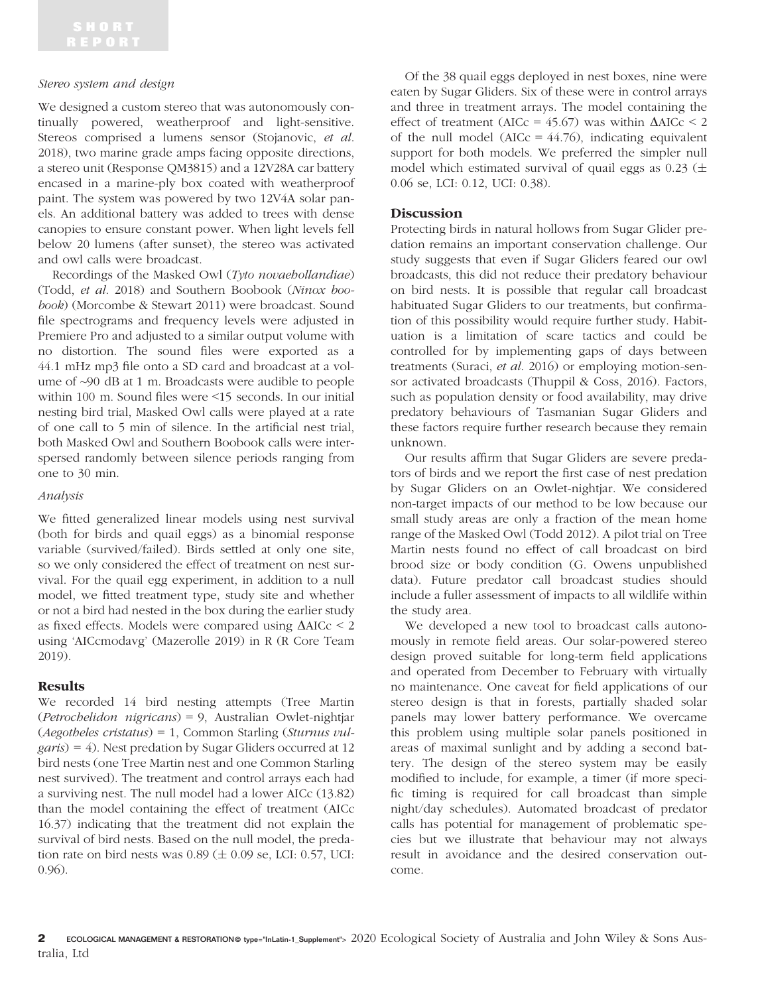#### Stereo system and design

We designed a custom stereo that was autonomously continually powered, weatherproof and light-sensitive. Stereos comprised a lumens sensor (Stojanovic, et al. 2018), two marine grade amps facing opposite directions, a stereo unit (Response QM3815) and a 12V28A car battery encased in a marine-ply box coated with weatherproof paint. The system was powered by two 12V4A solar panels. An additional battery was added to trees with dense canopies to ensure constant power. When light levels fell below 20 lumens (after sunset), the stereo was activated and owl calls were broadcast.

Recordings of the Masked Owl (Tyto novaehollandiae) (Todd, et al. 2018) and Southern Boobook (Ninox boobook) (Morcombe & Stewart 2011) were broadcast. Sound file spectrograms and frequency levels were adjusted in Premiere Pro and adjusted to a similar output volume with no distortion. The sound files were exported as a 44.1 mHz mp3 file onto a SD card and broadcast at a volume of ~90 dB at 1 m. Broadcasts were audible to people within 100 m. Sound files were <15 seconds. In our initial nesting bird trial, Masked Owl calls were played at a rate of one call to 5 min of silence. In the artificial nest trial, both Masked Owl and Southern Boobook calls were interspersed randomly between silence periods ranging from one to 30 min.

#### Analysis

We fitted generalized linear models using nest survival (both for birds and quail eggs) as a binomial response variable (survived/failed). Birds settled at only one site, so we only considered the effect of treatment on nest survival. For the quail egg experiment, in addition to a null model, we fitted treatment type, study site and whether or not a bird had nested in the box during the earlier study as fixed effects. Models were compared using  $\Delta AICc \leq 2$ using 'AICcmodavg' (Mazerolle 2019) in R (R Core Team 2019).

### Results

We recorded 14 bird nesting attempts (Tree Martin (Petrochelidon nigricans) = 9, Australian Owlet-nightjar (Aegotheles cristatus) = 1, Common Starling (Sturnus vul $garis$ ) = 4). Nest predation by Sugar Gliders occurred at 12 bird nests (one Tree Martin nest and one Common Starling nest survived). The treatment and control arrays each had a surviving nest. The null model had a lower AICc (13.82) than the model containing the effect of treatment (AICc 16.37) indicating that the treatment did not explain the survival of bird nests. Based on the null model, the predation rate on bird nests was  $0.89 \ (\pm 0.09 \text{ se}, \text{LCI: } 0.57, \text{UCI:})$ 0.96).

Of the 38 quail eggs deployed in nest boxes, nine were eaten by Sugar Gliders. Six of these were in control arrays and three in treatment arrays. The model containing the effect of treatment (AICc =  $45.67$ ) was within  $\Delta AICc \leq 2$ of the null model (AICc =  $44.76$ ), indicating equivalent support for both models. We preferred the simpler null model which estimated survival of quail eggs as  $0.23$  ( $\pm$ 0.06 se, LCI: 0.12, UCI: 0.38).

#### Discussion

Protecting birds in natural hollows from Sugar Glider predation remains an important conservation challenge. Our study suggests that even if Sugar Gliders feared our owl broadcasts, this did not reduce their predatory behaviour on bird nests. It is possible that regular call broadcast habituated Sugar Gliders to our treatments, but confirmation of this possibility would require further study. Habituation is a limitation of scare tactics and could be controlled for by implementing gaps of days between treatments (Suraci, et al. 2016) or employing motion-sensor activated broadcasts (Thuppil & Coss, 2016). Factors, such as population density or food availability, may drive predatory behaviours of Tasmanian Sugar Gliders and these factors require further research because they remain unknown.

Our results affirm that Sugar Gliders are severe predators of birds and we report the first case of nest predation by Sugar Gliders on an Owlet-nightjar. We considered non-target impacts of our method to be low because our small study areas are only a fraction of the mean home range of the Masked Owl (Todd 2012). A pilot trial on Tree Martin nests found no effect of call broadcast on bird brood size or body condition (G. Owens unpublished data). Future predator call broadcast studies should include a fuller assessment of impacts to all wildlife within the study area.

We developed a new tool to broadcast calls autonomously in remote field areas. Our solar-powered stereo design proved suitable for long-term field applications and operated from December to February with virtually no maintenance. One caveat for field applications of our stereo design is that in forests, partially shaded solar panels may lower battery performance. We overcame this problem using multiple solar panels positioned in areas of maximal sunlight and by adding a second battery. The design of the stereo system may be easily modified to include, for example, a timer (if more specific timing is required for call broadcast than simple night/day schedules). Automated broadcast of predator calls has potential for management of problematic species but we illustrate that behaviour may not always result in avoidance and the desired conservation outcome.